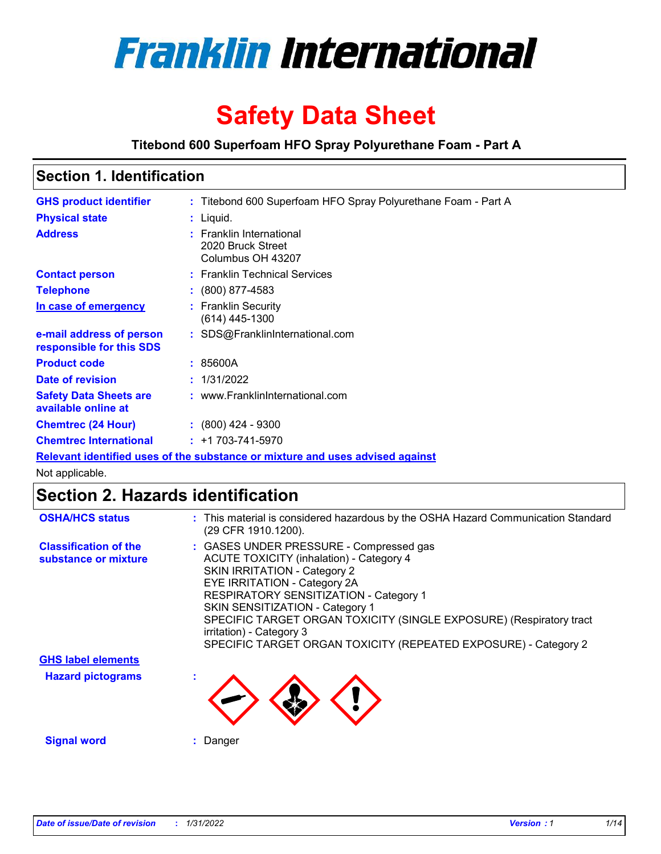

# **Safety Data Sheet**

**Titebond 600 Superfoam HFO Spray Polyurethane Foam - Part A**

# **Section 1. Identification**

| <b>GHS product identifier</b>                        | : Titebond 600 Superfoam HFO Spray Polyurethane Foam - Part A                 |
|------------------------------------------------------|-------------------------------------------------------------------------------|
| <b>Physical state</b>                                | $:$ Liquid.                                                                   |
| <b>Address</b>                                       | : Franklin International<br>2020 Bruck Street<br>Columbus OH 43207            |
| <b>Contact person</b>                                | : Franklin Technical Services                                                 |
| <b>Telephone</b>                                     | $\colon$ (800) 877-4583                                                       |
| In case of emergency                                 | : Franklin Security<br>(614) 445-1300                                         |
| e-mail address of person<br>responsible for this SDS | : SDS@FranklinInternational.com                                               |
| <b>Product code</b>                                  | : 85600A                                                                      |
| Date of revision                                     | : 1/31/2022                                                                   |
| <b>Safety Data Sheets are</b><br>available online at | : www.FranklinInternational.com                                               |
| <b>Chemtrec (24 Hour)</b>                            | $: (800)$ 424 - 9300                                                          |
| <b>Chemtrec International</b>                        | $: +1703 - 741 - 5970$                                                        |
|                                                      | Relevant identified uses of the substance or mixture and uses advised against |

Not applicable.

### **Section 2. Hazards identification**

| <b>OSHA/HCS status</b>                               | : This material is considered hazardous by the OSHA Hazard Communication Standard<br>(29 CFR 1910.1200).                                                                                                                                                                                                                                                                                                             |
|------------------------------------------------------|----------------------------------------------------------------------------------------------------------------------------------------------------------------------------------------------------------------------------------------------------------------------------------------------------------------------------------------------------------------------------------------------------------------------|
| <b>Classification of the</b><br>substance or mixture | : GASES UNDER PRESSURE - Compressed gas<br><b>ACUTE TOXICITY (inhalation) - Category 4</b><br><b>SKIN IRRITATION - Category 2</b><br>EYE IRRITATION - Category 2A<br>RESPIRATORY SENSITIZATION - Category 1<br>SKIN SENSITIZATION - Category 1<br>SPECIFIC TARGET ORGAN TOXICITY (SINGLE EXPOSURE) (Respiratory tract<br>irritation) - Category 3<br>SPECIFIC TARGET ORGAN TOXICITY (REPEATED EXPOSURE) - Category 2 |
| <b>GHS label elements</b>                            |                                                                                                                                                                                                                                                                                                                                                                                                                      |
| <b>Hazard pictograms</b>                             |                                                                                                                                                                                                                                                                                                                                                                                                                      |
| <b>Signal word</b>                                   | Danger                                                                                                                                                                                                                                                                                                                                                                                                               |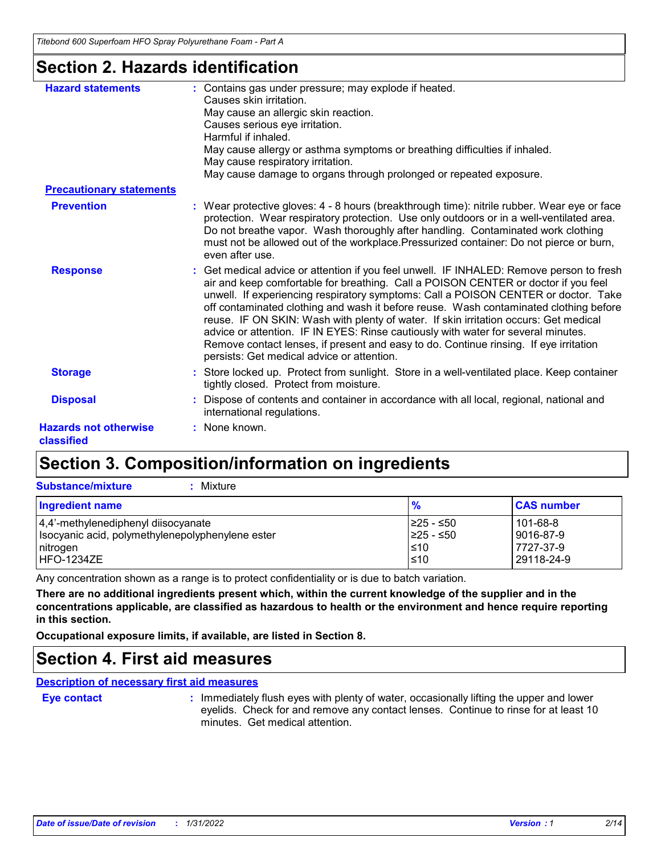### **Section 2. Hazards identification**

| <b>Hazard statements</b>                   | : Contains gas under pressure; may explode if heated.<br>Causes skin irritation.<br>May cause an allergic skin reaction.<br>Causes serious eye irritation.<br>Harmful if inhaled.<br>May cause allergy or asthma symptoms or breathing difficulties if inhaled.<br>May cause respiratory irritation.<br>May cause damage to organs through prolonged or repeated exposure.                                                                                                                                                                                                                                                                                                        |
|--------------------------------------------|-----------------------------------------------------------------------------------------------------------------------------------------------------------------------------------------------------------------------------------------------------------------------------------------------------------------------------------------------------------------------------------------------------------------------------------------------------------------------------------------------------------------------------------------------------------------------------------------------------------------------------------------------------------------------------------|
| <b>Precautionary statements</b>            |                                                                                                                                                                                                                                                                                                                                                                                                                                                                                                                                                                                                                                                                                   |
| <b>Prevention</b>                          | : Wear protective gloves: 4 - 8 hours (breakthrough time): nitrile rubber. Wear eye or face<br>protection. Wear respiratory protection. Use only outdoors or in a well-ventilated area.<br>Do not breathe vapor. Wash thoroughly after handling. Contaminated work clothing<br>must not be allowed out of the workplace. Pressurized container: Do not pierce or burn,<br>even after use.                                                                                                                                                                                                                                                                                         |
| <b>Response</b>                            | : Get medical advice or attention if you feel unwell. IF INHALED: Remove person to fresh<br>air and keep comfortable for breathing. Call a POISON CENTER or doctor if you feel<br>unwell. If experiencing respiratory symptoms: Call a POISON CENTER or doctor. Take<br>off contaminated clothing and wash it before reuse. Wash contaminated clothing before<br>reuse. IF ON SKIN: Wash with plenty of water. If skin irritation occurs: Get medical<br>advice or attention. IF IN EYES: Rinse cautiously with water for several minutes.<br>Remove contact lenses, if present and easy to do. Continue rinsing. If eye irritation<br>persists: Get medical advice or attention. |
| <b>Storage</b>                             | : Store locked up. Protect from sunlight. Store in a well-ventilated place. Keep container<br>tightly closed. Protect from moisture.                                                                                                                                                                                                                                                                                                                                                                                                                                                                                                                                              |
| <b>Disposal</b>                            | : Dispose of contents and container in accordance with all local, regional, national and<br>international regulations.                                                                                                                                                                                                                                                                                                                                                                                                                                                                                                                                                            |
| <b>Hazards not otherwise</b><br>classified | : None known.                                                                                                                                                                                                                                                                                                                                                                                                                                                                                                                                                                                                                                                                     |

## **Section 3. Composition/information on ingredients**

**Substance/mixture :** Mixture

| <b>Ingredient name</b>                           | $\frac{9}{6}$ | <b>CAS number</b> |
|--------------------------------------------------|---------------|-------------------|
| 4,4'-methylenediphenyl diisocyanate              | I≥25 - ≤50    | 101-68-8          |
| Isocyanic acid, polymethylenepolyphenylene ester | I≥25 - ≤50    | 9016-87-9         |
| nitrogen                                         | ≤10           | 7727-37-9         |
| HFO-1234ZE                                       | $\leq 10$     | 29118-24-9        |

Any concentration shown as a range is to protect confidentiality or is due to batch variation.

**There are no additional ingredients present which, within the current knowledge of the supplier and in the concentrations applicable, are classified as hazardous to health or the environment and hence require reporting in this section.**

**Occupational exposure limits, if available, are listed in Section 8.**

### **Section 4. First aid measures**

**Description of necessary first aid measures**

| Eve contact |  |  |  |
|-------------|--|--|--|
|             |  |  |  |

**Eye contact Example 20 by Example 1**: Immediately flush eyes with plenty of water, occasionally lifting the upper and lower eyelids. Check for and remove any contact lenses. Continue to rinse for at least 10 minutes. Get medical attention.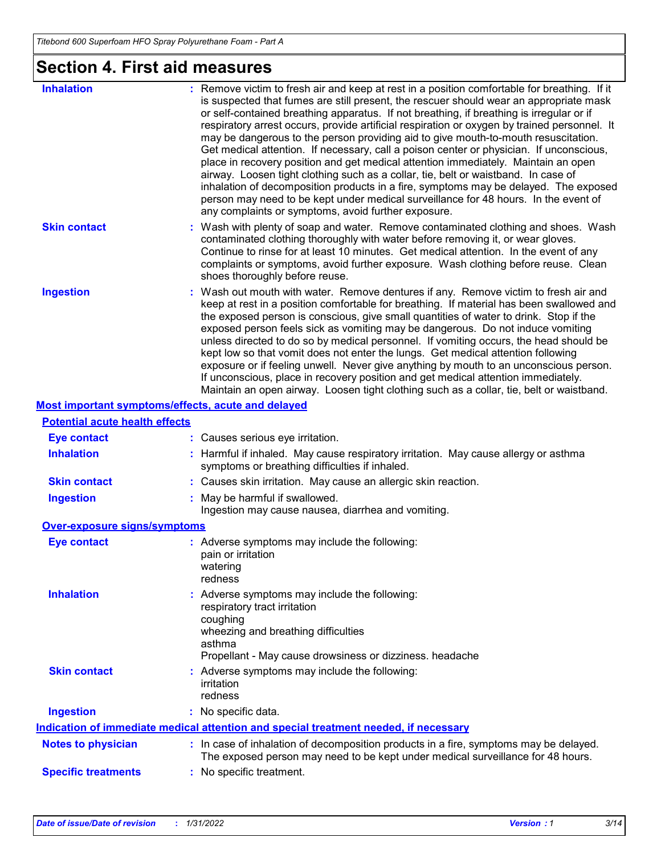# **Section 4. First aid measures**

| <b>Inhalation</b>                                  | : Remove victim to fresh air and keep at rest in a position comfortable for breathing. If it<br>is suspected that fumes are still present, the rescuer should wear an appropriate mask<br>or self-contained breathing apparatus. If not breathing, if breathing is irregular or if<br>respiratory arrest occurs, provide artificial respiration or oxygen by trained personnel. It<br>may be dangerous to the person providing aid to give mouth-to-mouth resuscitation.<br>Get medical attention. If necessary, call a poison center or physician. If unconscious,<br>place in recovery position and get medical attention immediately. Maintain an open<br>airway. Loosen tight clothing such as a collar, tie, belt or waistband. In case of<br>inhalation of decomposition products in a fire, symptoms may be delayed. The exposed<br>person may need to be kept under medical surveillance for 48 hours. In the event of<br>any complaints or symptoms, avoid further exposure. |
|----------------------------------------------------|---------------------------------------------------------------------------------------------------------------------------------------------------------------------------------------------------------------------------------------------------------------------------------------------------------------------------------------------------------------------------------------------------------------------------------------------------------------------------------------------------------------------------------------------------------------------------------------------------------------------------------------------------------------------------------------------------------------------------------------------------------------------------------------------------------------------------------------------------------------------------------------------------------------------------------------------------------------------------------------|
| <b>Skin contact</b>                                | : Wash with plenty of soap and water. Remove contaminated clothing and shoes. Wash<br>contaminated clothing thoroughly with water before removing it, or wear gloves.<br>Continue to rinse for at least 10 minutes. Get medical attention. In the event of any<br>complaints or symptoms, avoid further exposure. Wash clothing before reuse. Clean<br>shoes thoroughly before reuse.                                                                                                                                                                                                                                                                                                                                                                                                                                                                                                                                                                                                 |
| <b>Ingestion</b>                                   | : Wash out mouth with water. Remove dentures if any. Remove victim to fresh air and<br>keep at rest in a position comfortable for breathing. If material has been swallowed and<br>the exposed person is conscious, give small quantities of water to drink. Stop if the<br>exposed person feels sick as vomiting may be dangerous. Do not induce vomiting<br>unless directed to do so by medical personnel. If vomiting occurs, the head should be<br>kept low so that vomit does not enter the lungs. Get medical attention following<br>exposure or if feeling unwell. Never give anything by mouth to an unconscious person.<br>If unconscious, place in recovery position and get medical attention immediately.<br>Maintain an open airway. Loosen tight clothing such as a collar, tie, belt or waistband.                                                                                                                                                                     |
| Most important symptoms/effects, acute and delayed |                                                                                                                                                                                                                                                                                                                                                                                                                                                                                                                                                                                                                                                                                                                                                                                                                                                                                                                                                                                       |
| <b>Potential acute health effects</b>              |                                                                                                                                                                                                                                                                                                                                                                                                                                                                                                                                                                                                                                                                                                                                                                                                                                                                                                                                                                                       |
| <b>Eye contact</b>                                 | : Causes serious eye irritation.                                                                                                                                                                                                                                                                                                                                                                                                                                                                                                                                                                                                                                                                                                                                                                                                                                                                                                                                                      |
| <b>Inhalation</b>                                  | : Harmful if inhaled. May cause respiratory irritation. May cause allergy or asthma<br>symptoms or breathing difficulties if inhaled.                                                                                                                                                                                                                                                                                                                                                                                                                                                                                                                                                                                                                                                                                                                                                                                                                                                 |
| <b>Skin contact</b>                                | : Causes skin irritation. May cause an allergic skin reaction.                                                                                                                                                                                                                                                                                                                                                                                                                                                                                                                                                                                                                                                                                                                                                                                                                                                                                                                        |
| <b>Ingestion</b>                                   | : May be harmful if swallowed.<br>Ingestion may cause nausea, diarrhea and vomiting.                                                                                                                                                                                                                                                                                                                                                                                                                                                                                                                                                                                                                                                                                                                                                                                                                                                                                                  |
| <b>Over-exposure signs/symptoms</b>                |                                                                                                                                                                                                                                                                                                                                                                                                                                                                                                                                                                                                                                                                                                                                                                                                                                                                                                                                                                                       |
| <b>Eye contact</b>                                 | : Adverse symptoms may include the following:<br>pain or irritation<br>watering<br>redness                                                                                                                                                                                                                                                                                                                                                                                                                                                                                                                                                                                                                                                                                                                                                                                                                                                                                            |
| <b>Inhalation</b>                                  | : Adverse symptoms may include the following:<br>respiratory tract irritation<br>coughing<br>wheezing and breathing difficulties<br>asthma<br>Propellant - May cause drowsiness or dizziness. headache                                                                                                                                                                                                                                                                                                                                                                                                                                                                                                                                                                                                                                                                                                                                                                                |
| <b>Skin contact</b>                                | : Adverse symptoms may include the following:<br>irritation<br>redness                                                                                                                                                                                                                                                                                                                                                                                                                                                                                                                                                                                                                                                                                                                                                                                                                                                                                                                |
| <b>Ingestion</b>                                   | : No specific data.                                                                                                                                                                                                                                                                                                                                                                                                                                                                                                                                                                                                                                                                                                                                                                                                                                                                                                                                                                   |
|                                                    | <u>Indication of immediate medical attention and special treatment needed, if necessary</u>                                                                                                                                                                                                                                                                                                                                                                                                                                                                                                                                                                                                                                                                                                                                                                                                                                                                                           |
| <b>Notes to physician</b>                          | : In case of inhalation of decomposition products in a fire, symptoms may be delayed.<br>The exposed person may need to be kept under medical surveillance for 48 hours.                                                                                                                                                                                                                                                                                                                                                                                                                                                                                                                                                                                                                                                                                                                                                                                                              |

**Specific treatments :** No specific treatment.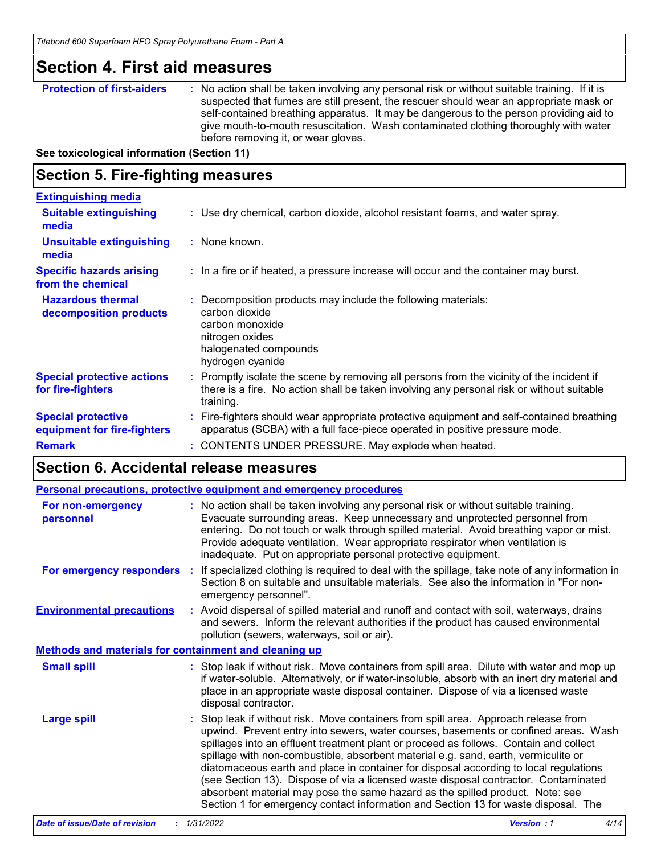### **Section 4. First aid measures**

**Protection of first-aiders** : No action shall be taken involving any personal risk or without suitable training. If it is suspected that fumes are still present, the rescuer should wear an appropriate mask or self-contained breathing apparatus. It may be dangerous to the person providing aid to give mouth-to-mouth resuscitation. Wash contaminated clothing thoroughly with water before removing it, or wear gloves.

**See toxicological information (Section 11)**

### **Section 5. Fire-fighting measures**

| <b>Extinguishing media</b>                               |                                                                                                                                                                                                   |
|----------------------------------------------------------|---------------------------------------------------------------------------------------------------------------------------------------------------------------------------------------------------|
| <b>Suitable extinguishing</b><br>media                   | : Use dry chemical, carbon dioxide, alcohol resistant foams, and water spray.                                                                                                                     |
| <b>Unsuitable extinguishing</b><br>media                 | : None known.                                                                                                                                                                                     |
| <b>Specific hazards arising</b><br>from the chemical     | : In a fire or if heated, a pressure increase will occur and the container may burst.                                                                                                             |
| <b>Hazardous thermal</b><br>decomposition products       | Decomposition products may include the following materials:<br>carbon dioxide<br>carbon monoxide<br>nitrogen oxides<br>halogenated compounds<br>hydrogen cyanide                                  |
| <b>Special protective actions</b><br>for fire-fighters   | Promptly isolate the scene by removing all persons from the vicinity of the incident if<br>there is a fire. No action shall be taken involving any personal risk or without suitable<br>training. |
| <b>Special protective</b><br>equipment for fire-fighters | Fire-fighters should wear appropriate protective equipment and self-contained breathing<br>apparatus (SCBA) with a full face-piece operated in positive pressure mode.                            |
| <b>Remark</b>                                            | : CONTENTS UNDER PRESSURE. May explode when heated.                                                                                                                                               |

### **Section 6. Accidental release measures**

|                                                              |    | <b>Personal precautions, protective equipment and emergency procedures</b>                                                                                                                                                                                                                                                                                                                                                                                                                                                                                                                                                                                                                                       |
|--------------------------------------------------------------|----|------------------------------------------------------------------------------------------------------------------------------------------------------------------------------------------------------------------------------------------------------------------------------------------------------------------------------------------------------------------------------------------------------------------------------------------------------------------------------------------------------------------------------------------------------------------------------------------------------------------------------------------------------------------------------------------------------------------|
| <b>For non-emergency</b><br>personnel                        |    | : No action shall be taken involving any personal risk or without suitable training.<br>Evacuate surrounding areas. Keep unnecessary and unprotected personnel from<br>entering. Do not touch or walk through spilled material. Avoid breathing vapor or mist.<br>Provide adequate ventilation. Wear appropriate respirator when ventilation is<br>inadequate. Put on appropriate personal protective equipment.                                                                                                                                                                                                                                                                                                 |
| For emergency responders                                     | ÷. | If specialized clothing is required to deal with the spillage, take note of any information in<br>Section 8 on suitable and unsuitable materials. See also the information in "For non-<br>emergency personnel".                                                                                                                                                                                                                                                                                                                                                                                                                                                                                                 |
| <b>Environmental precautions</b>                             |    | : Avoid dispersal of spilled material and runoff and contact with soil, waterways, drains<br>and sewers. Inform the relevant authorities if the product has caused environmental<br>pollution (sewers, waterways, soil or air).                                                                                                                                                                                                                                                                                                                                                                                                                                                                                  |
| <b>Methods and materials for containment and cleaning up</b> |    |                                                                                                                                                                                                                                                                                                                                                                                                                                                                                                                                                                                                                                                                                                                  |
| <b>Small spill</b>                                           |    | : Stop leak if without risk. Move containers from spill area. Dilute with water and mop up<br>if water-soluble. Alternatively, or if water-insoluble, absorb with an inert dry material and<br>place in an appropriate waste disposal container. Dispose of via a licensed waste<br>disposal contractor.                                                                                                                                                                                                                                                                                                                                                                                                         |
| <b>Large spill</b>                                           |    | : Stop leak if without risk. Move containers from spill area. Approach release from<br>upwind. Prevent entry into sewers, water courses, basements or confined areas. Wash<br>spillages into an effluent treatment plant or proceed as follows. Contain and collect<br>spillage with non-combustible, absorbent material e.g. sand, earth, vermiculite or<br>diatomaceous earth and place in container for disposal according to local regulations<br>(see Section 13). Dispose of via a licensed waste disposal contractor. Contaminated<br>absorbent material may pose the same hazard as the spilled product. Note: see<br>Section 1 for emergency contact information and Section 13 for waste disposal. The |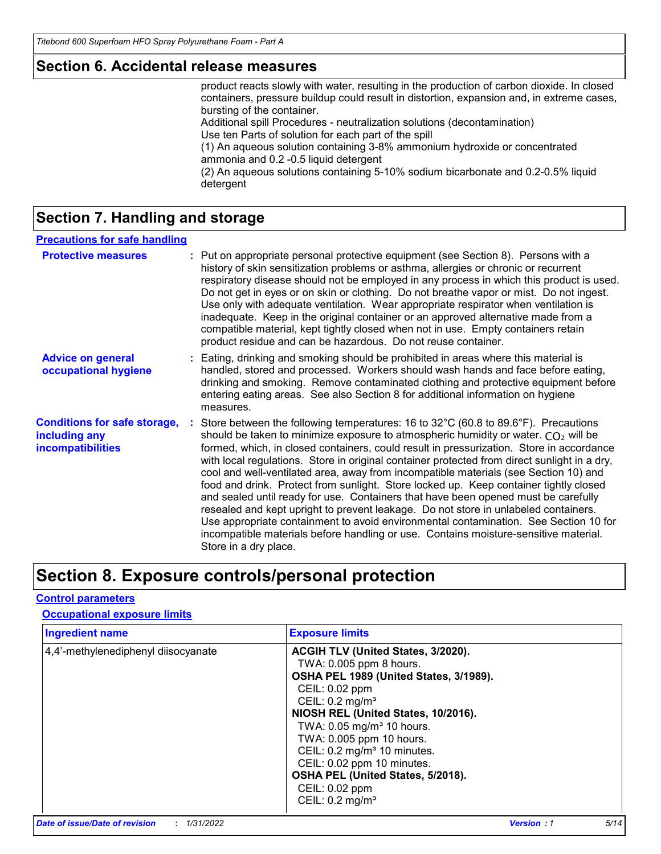### **Section 6. Accidental release measures**

product reacts slowly with water, resulting in the production of carbon dioxide. In closed containers, pressure buildup could result in distortion, expansion and, in extreme cases, bursting of the container. Additional spill Procedures - neutralization solutions (decontamination)

Use ten Parts of solution for each part of the spill (1) An aqueous solution containing 3-8% ammonium hydroxide or concentrated

ammonia and 0.2 -0.5 liquid detergent

(2) An aqueous solutions containing 5-10% sodium bicarbonate and 0.2-0.5% liquid detergent

### **Section 7. Handling and storage**

#### **Precautions for safe handling**

| <b>Protective measures</b>                                                       | : Put on appropriate personal protective equipment (see Section 8). Persons with a<br>history of skin sensitization problems or asthma, allergies or chronic or recurrent<br>respiratory disease should not be employed in any process in which this product is used.<br>Do not get in eyes or on skin or clothing. Do not breathe vapor or mist. Do not ingest.<br>Use only with adequate ventilation. Wear appropriate respirator when ventilation is<br>inadequate. Keep in the original container or an approved alternative made from a<br>compatible material, kept tightly closed when not in use. Empty containers retain<br>product residue and can be hazardous. Do not reuse container.                                                                                                                                                                                                                                                                 |
|----------------------------------------------------------------------------------|--------------------------------------------------------------------------------------------------------------------------------------------------------------------------------------------------------------------------------------------------------------------------------------------------------------------------------------------------------------------------------------------------------------------------------------------------------------------------------------------------------------------------------------------------------------------------------------------------------------------------------------------------------------------------------------------------------------------------------------------------------------------------------------------------------------------------------------------------------------------------------------------------------------------------------------------------------------------|
| <b>Advice on general</b><br>occupational hygiene                                 | : Eating, drinking and smoking should be prohibited in areas where this material is<br>handled, stored and processed. Workers should wash hands and face before eating,<br>drinking and smoking. Remove contaminated clothing and protective equipment before<br>entering eating areas. See also Section 8 for additional information on hygiene<br>measures.                                                                                                                                                                                                                                                                                                                                                                                                                                                                                                                                                                                                      |
| <b>Conditions for safe storage,</b><br>including any<br><b>incompatibilities</b> | Store between the following temperatures: 16 to $32^{\circ}$ C (60.8 to 89.6 $^{\circ}$ F). Precautions<br>should be taken to minimize exposure to atmospheric humidity or water. $CO2$ will be<br>formed, which, in closed containers, could result in pressurization. Store in accordance<br>with local regulations. Store in original container protected from direct sunlight in a dry,<br>cool and well-ventilated area, away from incompatible materials (see Section 10) and<br>food and drink. Protect from sunlight. Store locked up. Keep container tightly closed<br>and sealed until ready for use. Containers that have been opened must be carefully<br>resealed and kept upright to prevent leakage. Do not store in unlabeled containers.<br>Use appropriate containment to avoid environmental contamination. See Section 10 for<br>incompatible materials before handling or use. Contains moisture-sensitive material.<br>Store in a dry place. |

### **Section 8. Exposure controls/personal protection**

### **Control parameters**

#### **Occupational exposure limits**

| <b>Ingredient name</b>              | <b>Exposure limits</b>                                                                                                                                                                                                                                                                                                                                                               |
|-------------------------------------|--------------------------------------------------------------------------------------------------------------------------------------------------------------------------------------------------------------------------------------------------------------------------------------------------------------------------------------------------------------------------------------|
| 4,4'-methylenediphenyl diisocyanate | ACGIH TLV (United States, 3/2020).<br>TWA: 0.005 ppm 8 hours.<br>OSHA PEL 1989 (United States, 3/1989).<br>CEIL: 0.02 ppm<br>CEIL: $0.2$ mg/m <sup>3</sup><br>NIOSH REL (United States, 10/2016).<br>TWA: 0.05 mg/m <sup>3</sup> 10 hours.<br>TWA: 0.005 ppm 10 hours.<br>CEIL: 0.2 mg/m <sup>3</sup> 10 minutes.<br>CEIL: 0.02 ppm 10 minutes.<br>OSHA PEL (United States, 5/2018). |
|                                     | CEIL: 0.02 ppm<br>CEIL: $0.2$ mg/m <sup>3</sup>                                                                                                                                                                                                                                                                                                                                      |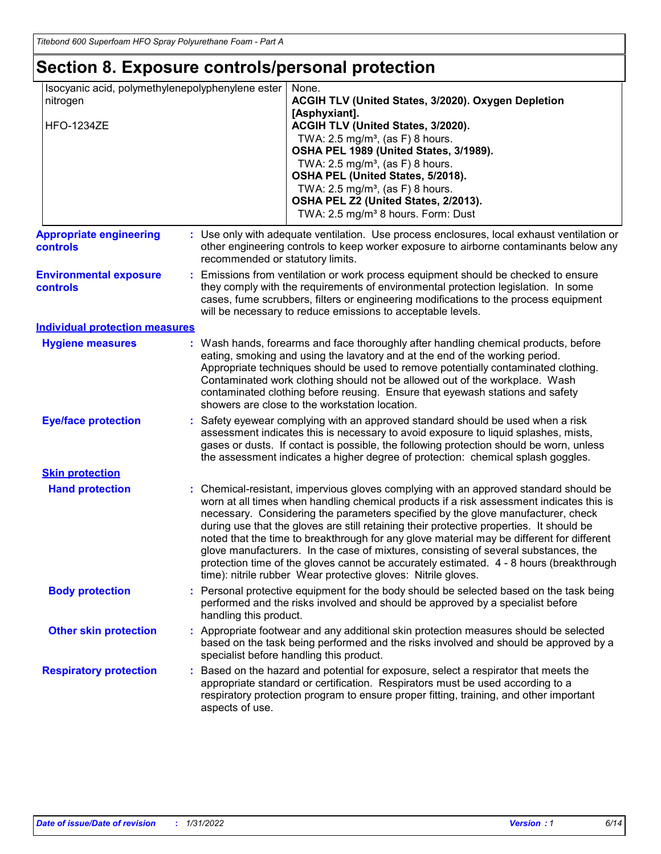# **Section 8. Exposure controls/personal protection**

| Isocyanic acid, polymethylenepolyphenylene ester<br>nitrogen<br><b>HFO-1234ZE</b> |                                  | None.<br>ACGIH TLV (United States, 3/2020). Oxygen Depletion<br>[Asphyxiant].<br>ACGIH TLV (United States, 3/2020).<br>TWA: 2.5 mg/m <sup>3</sup> , (as F) 8 hours.<br>OSHA PEL 1989 (United States, 3/1989).<br>TWA: $2.5 \text{ mg/m}^3$ , (as F) 8 hours.<br>OSHA PEL (United States, 5/2018).<br>TWA: 2.5 mg/m <sup>3</sup> , (as F) 8 hours.<br>OSHA PEL Z2 (United States, 2/2013).<br>TWA: 2.5 mg/m <sup>3</sup> 8 hours. Form: Dust                                                                                                                                                                                                                                                                       |
|-----------------------------------------------------------------------------------|----------------------------------|-------------------------------------------------------------------------------------------------------------------------------------------------------------------------------------------------------------------------------------------------------------------------------------------------------------------------------------------------------------------------------------------------------------------------------------------------------------------------------------------------------------------------------------------------------------------------------------------------------------------------------------------------------------------------------------------------------------------|
| <b>Appropriate engineering</b><br>controls                                        | recommended or statutory limits. | : Use only with adequate ventilation. Use process enclosures, local exhaust ventilation or<br>other engineering controls to keep worker exposure to airborne contaminants below any                                                                                                                                                                                                                                                                                                                                                                                                                                                                                                                               |
| <b>Environmental exposure</b><br>controls                                         |                                  | : Emissions from ventilation or work process equipment should be checked to ensure<br>they comply with the requirements of environmental protection legislation. In some<br>cases, fume scrubbers, filters or engineering modifications to the process equipment<br>will be necessary to reduce emissions to acceptable levels.                                                                                                                                                                                                                                                                                                                                                                                   |
| <b>Individual protection measures</b>                                             |                                  |                                                                                                                                                                                                                                                                                                                                                                                                                                                                                                                                                                                                                                                                                                                   |
| <b>Hygiene measures</b>                                                           |                                  | : Wash hands, forearms and face thoroughly after handling chemical products, before<br>eating, smoking and using the lavatory and at the end of the working period.<br>Appropriate techniques should be used to remove potentially contaminated clothing.<br>Contaminated work clothing should not be allowed out of the workplace. Wash<br>contaminated clothing before reusing. Ensure that eyewash stations and safety<br>showers are close to the workstation location.                                                                                                                                                                                                                                       |
| <b>Eye/face protection</b>                                                        |                                  | : Safety eyewear complying with an approved standard should be used when a risk<br>assessment indicates this is necessary to avoid exposure to liquid splashes, mists,<br>gases or dusts. If contact is possible, the following protection should be worn, unless<br>the assessment indicates a higher degree of protection: chemical splash goggles.                                                                                                                                                                                                                                                                                                                                                             |
| <b>Skin protection</b>                                                            |                                  |                                                                                                                                                                                                                                                                                                                                                                                                                                                                                                                                                                                                                                                                                                                   |
| <b>Hand protection</b>                                                            |                                  | : Chemical-resistant, impervious gloves complying with an approved standard should be<br>worn at all times when handling chemical products if a risk assessment indicates this is<br>necessary. Considering the parameters specified by the glove manufacturer, check<br>during use that the gloves are still retaining their protective properties. It should be<br>noted that the time to breakthrough for any glove material may be different for different<br>glove manufacturers. In the case of mixtures, consisting of several substances, the<br>protection time of the gloves cannot be accurately estimated. 4 - 8 hours (breakthrough<br>time): nitrile rubber Wear protective gloves: Nitrile gloves. |
| <b>Body protection</b>                                                            | handling this product.           | : Personal protective equipment for the body should be selected based on the task being<br>performed and the risks involved and should be approved by a specialist before                                                                                                                                                                                                                                                                                                                                                                                                                                                                                                                                         |
| <b>Other skin protection</b>                                                      |                                  | : Appropriate footwear and any additional skin protection measures should be selected<br>based on the task being performed and the risks involved and should be approved by a<br>specialist before handling this product.                                                                                                                                                                                                                                                                                                                                                                                                                                                                                         |
| <b>Respiratory protection</b>                                                     | aspects of use.                  | : Based on the hazard and potential for exposure, select a respirator that meets the<br>appropriate standard or certification. Respirators must be used according to a<br>respiratory protection program to ensure proper fitting, training, and other important                                                                                                                                                                                                                                                                                                                                                                                                                                                  |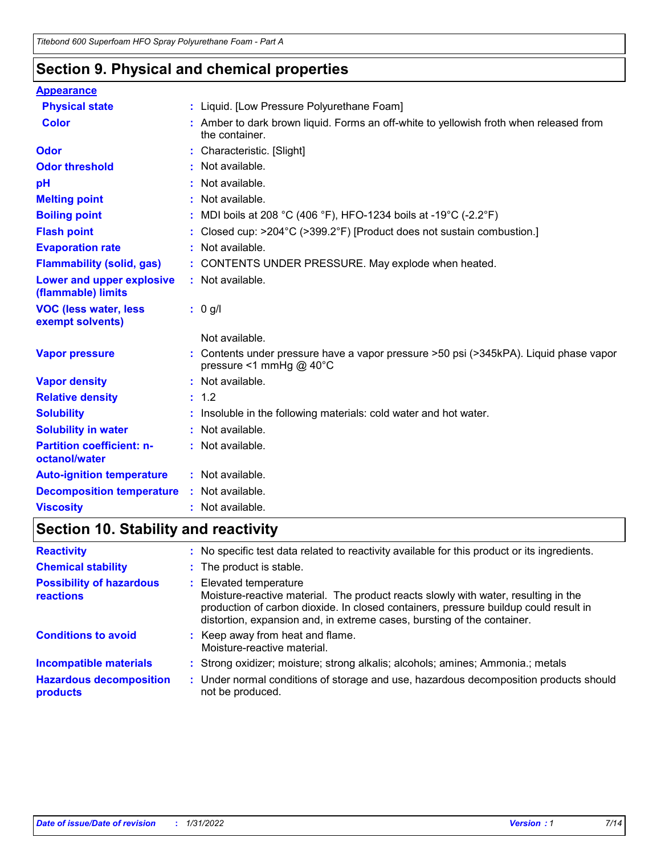### **Section 9. Physical and chemical properties**

| <b>Appearance</b>                                 |                                                                                                                          |
|---------------------------------------------------|--------------------------------------------------------------------------------------------------------------------------|
| <b>Physical state</b>                             | : Liquid. [Low Pressure Polyurethane Foam]                                                                               |
| <b>Color</b>                                      | : Amber to dark brown liquid. Forms an off-white to yellowish froth when released from<br>the container.                 |
| Odor                                              | Characteristic. [Slight]                                                                                                 |
| <b>Odor threshold</b>                             | Not available.                                                                                                           |
| pH                                                | Not available.                                                                                                           |
| <b>Melting point</b>                              | Not available.                                                                                                           |
| <b>Boiling point</b>                              | MDI boils at 208 °C (406 °F), HFO-1234 boils at -19 °C (-2.2 °F)                                                         |
| <b>Flash point</b>                                | Closed cup: >204°C (>399.2°F) [Product does not sustain combustion.]                                                     |
| <b>Evaporation rate</b>                           | Not available.                                                                                                           |
| <b>Flammability (solid, gas)</b>                  | CONTENTS UNDER PRESSURE. May explode when heated.                                                                        |
| Lower and upper explosive<br>(flammable) limits   | : Not available.                                                                                                         |
| <b>VOC (less water, less)</b><br>exempt solvents) | : 0 g/l                                                                                                                  |
|                                                   | Not available.                                                                                                           |
| <b>Vapor pressure</b>                             | Contents under pressure have a vapor pressure >50 psi (>345kPA). Liquid phase vapor<br>pressure <1 mmHg @ $40^{\circ}$ C |
| <b>Vapor density</b>                              | Not available.                                                                                                           |
| <b>Relative density</b>                           | : 1.2                                                                                                                    |
| <b>Solubility</b>                                 | Insoluble in the following materials: cold water and hot water.                                                          |
| <b>Solubility in water</b>                        | Not available.                                                                                                           |
| <b>Partition coefficient: n-</b><br>octanol/water | : Not available.                                                                                                         |
| <b>Auto-ignition temperature</b>                  | : Not available.                                                                                                         |
| <b>Decomposition temperature</b>                  | Not available.                                                                                                           |
| <b>Viscosity</b>                                  | Not available.                                                                                                           |

# **Section 10. Stability and reactivity**

| <b>Reactivity</b>                            | No specific test data related to reactivity available for this product or its ingredients.                                                                                                                                                                                    |
|----------------------------------------------|-------------------------------------------------------------------------------------------------------------------------------------------------------------------------------------------------------------------------------------------------------------------------------|
| <b>Chemical stability</b>                    | : The product is stable.                                                                                                                                                                                                                                                      |
| <b>Possibility of hazardous</b><br>reactions | Elevated temperature<br>Moisture-reactive material. The product reacts slowly with water, resulting in the<br>production of carbon dioxide. In closed containers, pressure buildup could result in<br>distortion, expansion and, in extreme cases, bursting of the container. |
| <b>Conditions to avoid</b>                   | : Keep away from heat and flame.<br>Moisture-reactive material.                                                                                                                                                                                                               |
| <b>Incompatible materials</b>                | : Strong oxidizer; moisture; strong alkalis; alcohols; amines; Ammonia.; metals                                                                                                                                                                                               |
| <b>Hazardous decomposition</b><br>products   | : Under normal conditions of storage and use, hazardous decomposition products should<br>not be produced.                                                                                                                                                                     |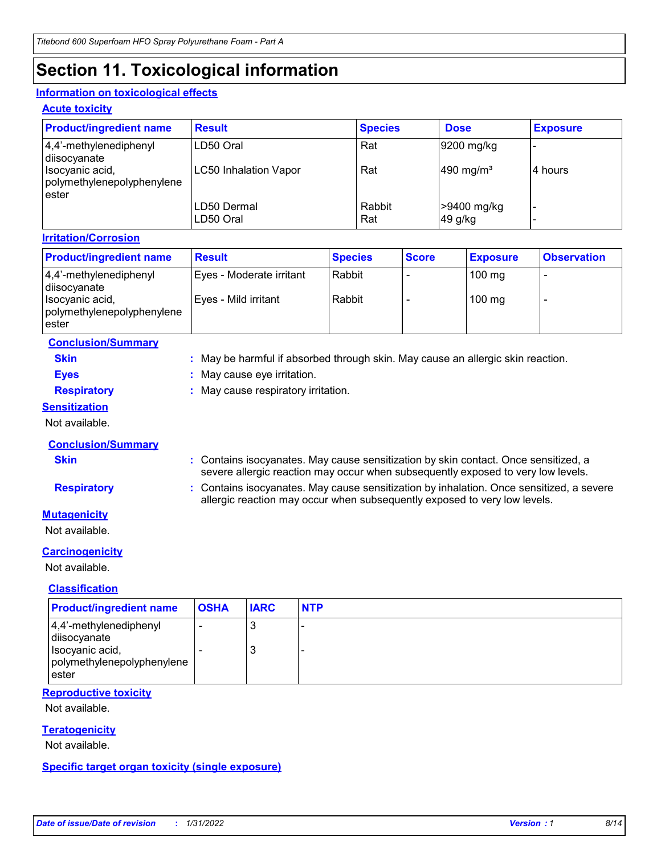## **Section 11. Toxicological information**

### **Information on toxicological effects**

#### **Acute toxicity**

| <b>Product/ingredient name</b>                         | <b>Result</b>                | <b>Species</b> | <b>Dose</b>             | <b>Exposure</b> |
|--------------------------------------------------------|------------------------------|----------------|-------------------------|-----------------|
| $ 4,4'$ -methylenediphenyl<br>diisocyanate             | LD50 Oral                    | Rat            | 9200 mg/kg              |                 |
| Isocyanic acid,<br>polymethylenepolyphenylene<br>ester | <b>LC50 Inhalation Vapor</b> | Rat            | $490$ mg/m <sup>3</sup> | l4 hours        |
|                                                        | LD50 Dermal<br>LD50 Oral     | Rabbit<br>Rat  | >9400 mg/kg<br>49 g/kg  |                 |

#### **Irritation/Corrosion**

| <b>Product/ingredient name</b>                         | <b>Result</b>            | <b>Species</b> | <b>Score</b> | <b>Exposure</b>  | <b>Observation</b> |
|--------------------------------------------------------|--------------------------|----------------|--------------|------------------|--------------------|
| $ 4,4'$ -methylenediphenyl<br>disocyanate              | Eves - Moderate irritant | Rabbit         |              | $100 \text{ mg}$ | -                  |
| Isocyanic acid,<br>polymethylenepolyphenylene<br>ester | Eyes - Mild irritant     | Rabbit         |              | $100$ mg         |                    |

| <b>Conclusion/Summary</b> |                                                                                 |
|---------------------------|---------------------------------------------------------------------------------|
| <b>Skin</b>               | : May be harmful if absorbed through skin. May cause an allergic skin reaction. |
| <b>Eves</b>               | : May cause eye irritation.                                                     |
| <b>Respiratory</b>        | : May cause respiratory irritation.                                             |
|                           |                                                                                 |

#### **Sensitization**

Not available.

### **Conclusion/Summary**

**Skin :** Contains isocyanates. May cause sensitization by skin contact. Once sensitized, a severe allergic reaction may occur when subsequently exposed to very low levels.

**Respiratory :** Contains isocyanates. May cause sensitization by inhalation. Once sensitized, a severe allergic reaction may occur when subsequently exposed to very low levels.

### **Mutagenicity**

Not available.

### **Carcinogenicity**

Not available.

### **Classification**

| <b>Product/ingredient name</b>                                                                   | <b>OSHA</b> | <b>IARC</b> | <b>NTP</b> |
|--------------------------------------------------------------------------------------------------|-------------|-------------|------------|
| 4,4'-methylenediphenyl<br>diisocyanate<br>Isocyanic acid,<br>polymethylenepolyphenylene<br>ester |             | 3<br>3      |            |

### **Reproductive toxicity**

Not available.

### **Teratogenicity**

Not available.

#### **Specific target organ toxicity (single exposure)**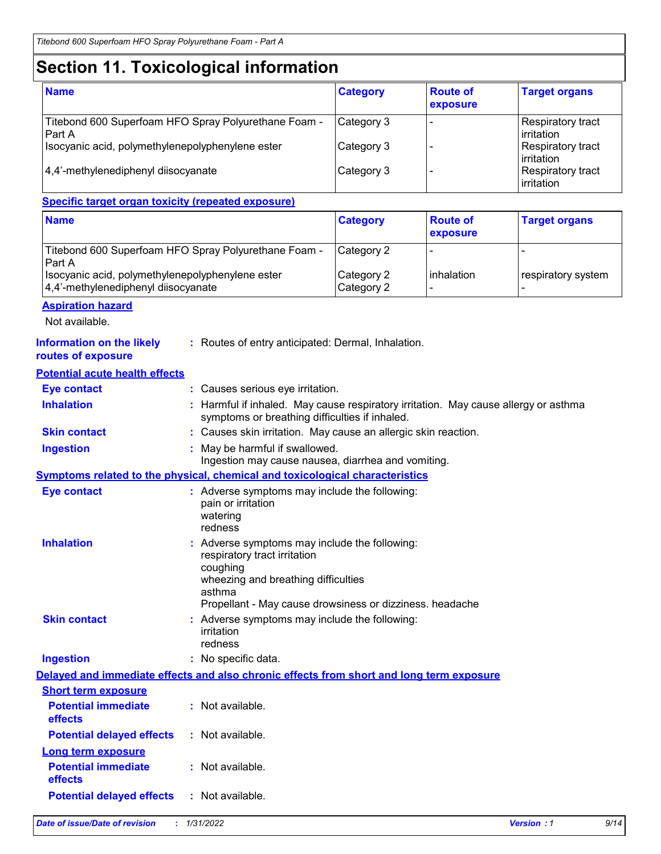# **Section 11. Toxicological information**

| <b>Name</b>                                                           | <b>Category</b> | <b>Route of</b><br>exposure | <b>Target organs</b>                     |
|-----------------------------------------------------------------------|-----------------|-----------------------------|------------------------------------------|
| Titebond 600 Superfoam HFO Spray Polyurethane Foam -<br><b>Part A</b> | Category 3      |                             | Respiratory tract<br><b>lirritation</b>  |
| Isocyanic acid, polymethylenepolyphenylene ester                      | Category 3      |                             | Respiratory tract<br><b>lirritation</b>  |
| 4,4'-methylenediphenyl diisocyanate                                   | Category 3      |                             | Respiratory tract<br><b>l</b> irritation |

### **Specific target organ toxicity (repeated exposure)**

| <b>Name</b>                                                                             | <b>Category</b>          | <b>Route of</b><br>exposure | <b>Target organs</b> |
|-----------------------------------------------------------------------------------------|--------------------------|-----------------------------|----------------------|
| Titebond 600 Superfoam HFO Spray Polyurethane Foam -<br>Part A                          | Category 2               |                             |                      |
| Isocyanic acid, polymethylenepolyphenylene ester<br>4,4'-methylenediphenyl diisocyanate | Category 2<br>Category 2 | inhalation                  | respiratory system   |

#### **Aspiration hazard**

**routes of exposure**

Not available.

|--|

| <b>Eye contact</b>                    | : Causes serious eye irritation.                                                                                                                                                                     |  |  |
|---------------------------------------|------------------------------------------------------------------------------------------------------------------------------------------------------------------------------------------------------|--|--|
| <b>Inhalation</b>                     | Harmful if inhaled. May cause respiratory irritation. May cause allergy or asthma<br>symptoms or breathing difficulties if inhaled.                                                                  |  |  |
| <b>Skin contact</b>                   | : Causes skin irritation. May cause an allergic skin reaction.                                                                                                                                       |  |  |
| <b>Ingestion</b>                      | May be harmful if swallowed.<br>Ingestion may cause nausea, diarrhea and vomiting.                                                                                                                   |  |  |
|                                       | Symptoms related to the physical, chemical and toxicological characteristics                                                                                                                         |  |  |
| <b>Eye contact</b>                    | : Adverse symptoms may include the following:<br>pain or irritation<br>watering<br>redness                                                                                                           |  |  |
| <b>Inhalation</b>                     | Adverse symptoms may include the following:<br>respiratory tract irritation<br>coughing<br>wheezing and breathing difficulties<br>asthma<br>Propellant - May cause drowsiness or dizziness. headache |  |  |
| <b>Skin contact</b>                   | : Adverse symptoms may include the following:<br>irritation<br>redness                                                                                                                               |  |  |
| <b>Ingestion</b>                      | : No specific data.                                                                                                                                                                                  |  |  |
|                                       | Delayed and immediate effects and also chronic effects from short and long term exposure                                                                                                             |  |  |
| <b>Short term exposure</b>            |                                                                                                                                                                                                      |  |  |
| <b>Potential immediate</b><br>effects | : Not available.                                                                                                                                                                                     |  |  |
| <b>Potential delayed effects</b>      | : Not available.                                                                                                                                                                                     |  |  |
| <b>Long term exposure</b>             |                                                                                                                                                                                                      |  |  |
| <b>Potential immediate</b><br>effects | : Not available.                                                                                                                                                                                     |  |  |
| <b>Potential delayed effects</b>      | : Not available.                                                                                                                                                                                     |  |  |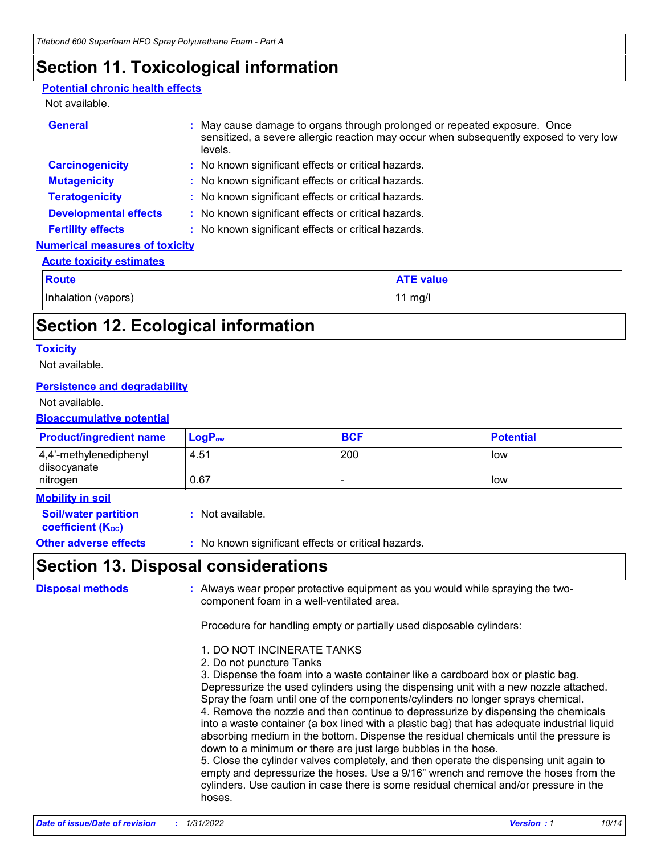### **Section 11. Toxicological information**

#### **Potential chronic health effects**

### Not available.

| <b>General</b>                        | : May cause damage to organs through prolonged or repeated exposure. Once<br>sensitized, a severe allergic reaction may occur when subsequently exposed to very low<br>levels. |
|---------------------------------------|--------------------------------------------------------------------------------------------------------------------------------------------------------------------------------|
| <b>Carcinogenicity</b>                | : No known significant effects or critical hazards.                                                                                                                            |
| <b>Mutagenicity</b>                   | : No known significant effects or critical hazards.                                                                                                                            |
| <b>Teratogenicity</b>                 | : No known significant effects or critical hazards.                                                                                                                            |
| <b>Developmental effects</b>          | : No known significant effects or critical hazards.                                                                                                                            |
| <b>Fertility effects</b>              | : No known significant effects or critical hazards.                                                                                                                            |
| <b>Numerical measures of toxicity</b> |                                                                                                                                                                                |

#### **Acute toxicity estimates**

| <b>Route</b>        | <b>ATE value</b> |
|---------------------|------------------|
| Inhalation (vapors) | mg/l             |

### **Section 12. Ecological information**

#### **Toxicity**

Not available.

#### **Persistence and degradability**

Not available.

#### **Bioaccumulative potential**

| <b>Product/ingredient name</b>                                                     | $LogP_{ow}$      | <b>BCF</b> | <b>Potential</b> |
|------------------------------------------------------------------------------------|------------------|------------|------------------|
| $ 4,4'$ -methylenediphenyl<br>diisocyanate<br>nitrogen                             | 4.51<br>0.67     | 200        | low<br>low       |
| <b>Mobility in soil</b><br><b>Soil/water partition</b><br><b>coefficient (Koc)</b> | : Not available. |            |                  |

**Other adverse effects** : No known significant effects or critical hazards.

### **Section 13. Disposal considerations**

**Disposal methods :**

Always wear proper protective equipment as you would while spraying the twocomponent foam in a well-ventilated area.

Procedure for handling empty or partially used disposable cylinders:

- 1. DO NOT INCINERATE TANKS
- 2. Do not puncture Tanks

3. Dispense the foam into a waste container like a cardboard box or plastic bag. Depressurize the used cylinders using the dispensing unit with a new nozzle attached. Spray the foam until one of the components/cylinders no longer sprays chemical. 4. Remove the nozzle and then continue to depressurize by dispensing the chemicals into a waste container (a box lined with a plastic bag) that has adequate industrial liquid absorbing medium in the bottom. Dispense the residual chemicals until the pressure is down to a minimum or there are just large bubbles in the hose.

5. Close the cylinder valves completely, and then operate the dispensing unit again to empty and depressurize the hoses. Use a 9/16" wrench and remove the hoses from the cylinders. Use caution in case there is some residual chemical and/or pressure in the hoses.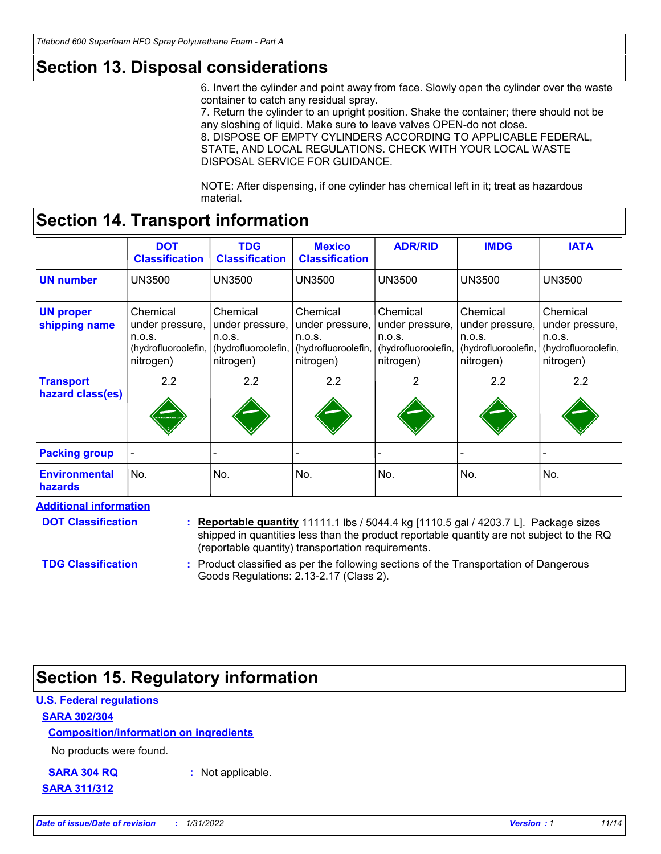### **Section 13. Disposal considerations**

6. Invert the cylinder and point away from face. Slowly open the cylinder over the waste container to catch any residual spray.

7. Return the cylinder to an upright position. Shake the container; there should not be any sloshing of liquid. Make sure to leave valves OPEN-do not close. 8. DISPOSE OF EMPTY CYLINDERS ACCORDING TO APPLICABLE FEDERAL, STATE, AND LOCAL REGULATIONS. CHECK WITH YOUR LOCAL WASTE DISPOSAL SERVICE FOR GUIDANCE.

NOTE: After dispensing, if one cylinder has chemical left in it; treat as hazardous material.

### **Section 14. Transport information**

|                                      | <b>DOT</b><br><b>Classification</b>                                       | <b>TDG</b><br><b>Classification</b>                                       | <b>Mexico</b><br><b>Classification</b>                                    | <b>ADR/RID</b>                                                            | <b>IMDG</b>                                                               | <b>IATA</b>                                                               |
|--------------------------------------|---------------------------------------------------------------------------|---------------------------------------------------------------------------|---------------------------------------------------------------------------|---------------------------------------------------------------------------|---------------------------------------------------------------------------|---------------------------------------------------------------------------|
| <b>UN number</b>                     | <b>UN3500</b>                                                             | <b>UN3500</b>                                                             | <b>UN3500</b>                                                             | <b>UN3500</b>                                                             | <b>UN3500</b>                                                             | <b>UN3500</b>                                                             |
| <b>UN proper</b><br>shipping name    | Chemical<br>under pressure,<br>n.o.s.<br>(hydrofluoroolefin,<br>nitrogen) | Chemical<br>under pressure,<br>n.o.s.<br>(hydrofluoroolefin,<br>nitrogen) | Chemical<br>under pressure,<br>n.o.s.<br>(hydrofluoroolefin,<br>nitrogen) | Chemical<br>under pressure,<br>n.o.s.<br>(hydrofluoroolefin,<br>nitrogen) | Chemical<br>under pressure,<br>n.o.s.<br>(hydrofluoroolefin,<br>nitrogen) | Chemical<br>under pressure,<br>n.o.s.<br>(hydrofluoroolefin,<br>nitrogen) |
| <b>Transport</b><br>hazard class(es) | 2.2<br>.<br>DN-FLAMMABLE G                                                | 2.2                                                                       | 2.2                                                                       | 2                                                                         | 2.2                                                                       | 2.2                                                                       |
| <b>Packing group</b>                 |                                                                           |                                                                           |                                                                           |                                                                           |                                                                           |                                                                           |
| <b>Environmental</b><br>hazards      | No.                                                                       | No.                                                                       | No.                                                                       | No.                                                                       | No.                                                                       | No.                                                                       |

#### **Additional information**

**DOT Classification**

**Reportable quantity** 11111.1 lbs / 5044.4 kg [1110.5 gal / 4203.7 L]. Package sizes **:** shipped in quantities less than the product reportable quantity are not subject to the RQ (reportable quantity) transportation requirements.

**TDG Classification**

Product classified as per the following sections of the Transportation of Dangerous **:** Goods Regulations: 2.13-2.17 (Class 2).

### **Section 15. Regulatory information**

### **U.S. Federal regulations**

#### **SARA 302/304**

### **Composition/information on ingredients**

No products were found.

**SARA 304 RQ :** Not applicable.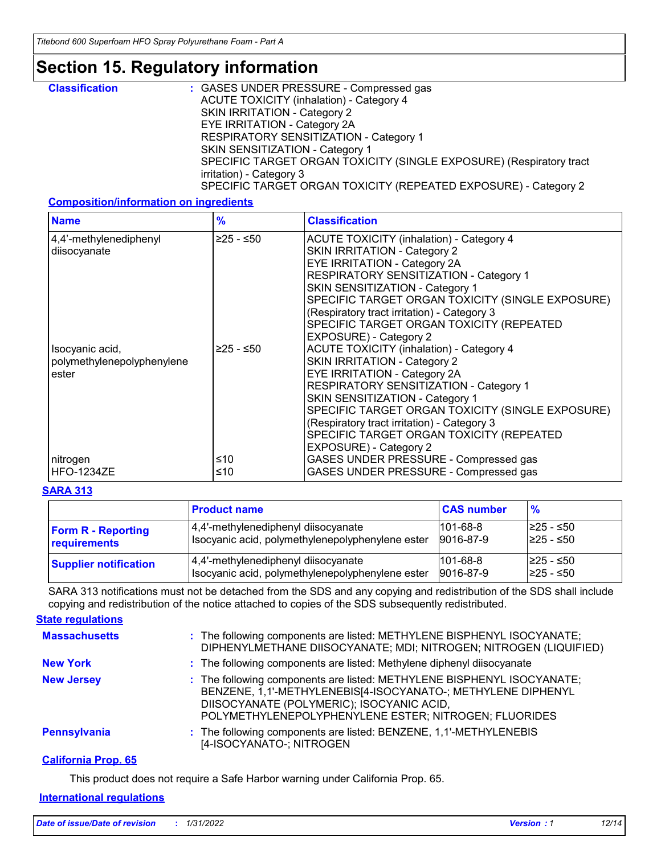### **Section 15. Regulatory information**

| <b>Classification</b> | : GASES UNDER PRESSURE - Compressed gas                             |
|-----------------------|---------------------------------------------------------------------|
|                       | <b>ACUTE TOXICITY (inhalation) - Category 4</b>                     |
|                       | SKIN IRRITATION - Category 2                                        |
|                       | EYE IRRITATION - Category 2A                                        |
|                       | RESPIRATORY SENSITIZATION - Category 1                              |
|                       | SKIN SENSITIZATION - Category 1                                     |
|                       | SPECIFIC TARGET ORGAN TOXICITY (SINGLE EXPOSURE) (Respiratory tract |
|                       | irritation) - Category 3                                            |
|                       | SPECIFIC TARGET ORGAN TOXICITY (REPEATED EXPOSURE) - Category 2     |

### **Composition/information on ingredients**

| <b>Name</b>                                            | $\frac{9}{6}$ | <b>Classification</b>                                                                                                                                                                                                                                                                                                                                                               |
|--------------------------------------------------------|---------------|-------------------------------------------------------------------------------------------------------------------------------------------------------------------------------------------------------------------------------------------------------------------------------------------------------------------------------------------------------------------------------------|
| 4,4'-methylenediphenyl<br>diisocyanate                 | ≥25 - ≤50     | <b>ACUTE TOXICITY (inhalation) - Category 4</b><br><b>SKIN IRRITATION - Category 2</b><br>EYE IRRITATION - Category 2A<br><b>RESPIRATORY SENSITIZATION - Category 1</b><br>SKIN SENSITIZATION - Category 1<br>SPECIFIC TARGET ORGAN TOXICITY (SINGLE EXPOSURE)<br>(Respiratory tract irritation) - Category 3<br>SPECIFIC TARGET ORGAN TOXICITY (REPEATED<br>EXPOSURE) - Category 2 |
| Isocyanic acid,<br>polymethylenepolyphenylene<br>ester | $≥25 - ≤50$   | <b>ACUTE TOXICITY (inhalation) - Category 4</b><br><b>SKIN IRRITATION - Category 2</b><br><b>EYE IRRITATION - Category 2A</b><br>RESPIRATORY SENSITIZATION - Category 1<br>SKIN SENSITIZATION - Category 1<br>SPECIFIC TARGET ORGAN TOXICITY (SINGLE EXPOSURE)<br>(Respiratory tract irritation) - Category 3<br>SPECIFIC TARGET ORGAN TOXICITY (REPEATED<br>EXPOSURE) - Category 2 |
| nitrogen<br><b>HFO-1234ZE</b>                          | ≤10<br>≤10    | GASES UNDER PRESSURE - Compressed gas<br>GASES UNDER PRESSURE - Compressed gas                                                                                                                                                                                                                                                                                                      |

#### **SARA 313**

|                              | <b>Product name</b>                              | <b>CAS number</b> | $\frac{9}{6}$ |
|------------------------------|--------------------------------------------------|-------------------|---------------|
| <b>Form R - Reporting</b>    | 4,4'-methylenediphenyl diisocyanate              | $101 - 68 - 8$    | l≥25 - ≤50    |
| requirements                 | Isocyanic acid, polymethylenepolyphenylene ester | 9016-87-9         | 225 - ≤50     |
| <b>Supplier notification</b> | 4,4'-methylenediphenyl diisocyanate              | $101 - 68 - 8$    | l≥25 - ≤50    |
|                              | Isocyanic acid, polymethylenepolyphenylene ester | 9016-87-9         | 225 - ≤50     |

SARA 313 notifications must not be detached from the SDS and any copying and redistribution of the SDS shall include copying and redistribution of the notice attached to copies of the SDS subsequently redistributed.

: The following components are listed: METHYLENE BISPHENYL ISOCYANATE; DIPHENYLMETHANE DIISOCYANATE; MDI; NITROGEN; NITROGEN (LIQUIFIED) **Massachusetts : California Prop. 65 New York :** The following components are listed: Methylene diphenyl diisocyanate **New Jersey :** The following components are listed: METHYLENE BISPHENYL ISOCYANATE; BENZENE, 1,1'-METHYLENEBIS[4-ISOCYANATO-; METHYLENE DIPHENYL DIISOCYANATE (POLYMERIC); ISOCYANIC ACID, POLYMETHYLENEPOLYPHENYLENE ESTER; NITROGEN; FLUORIDES **Pennsylvania :** The following components are listed: BENZENE, 1,1'-METHYLENEBIS [4-ISOCYANATO-; NITROGEN **State regulations**

This product does not require a Safe Harbor warning under California Prop. 65.

#### **International regulations**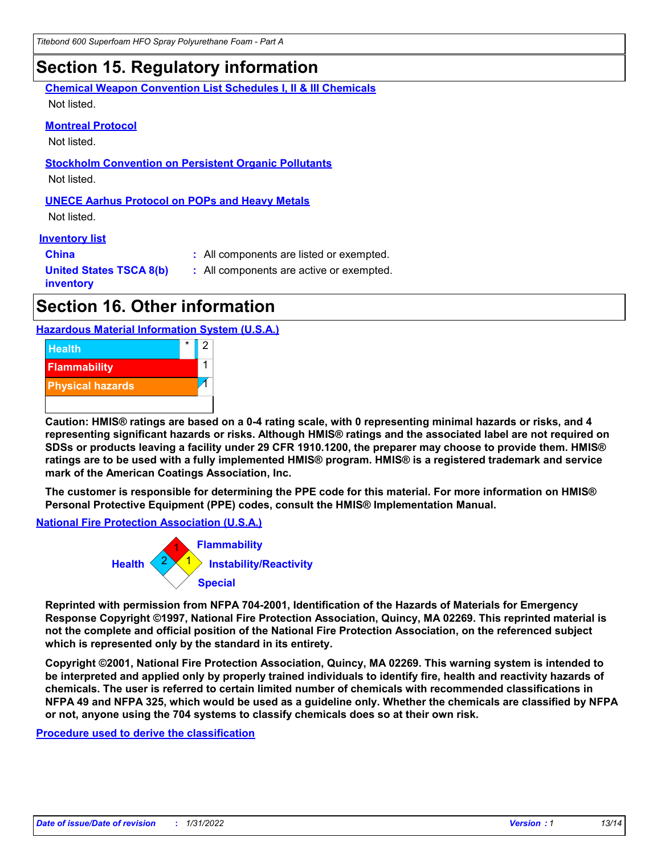### **Section 15. Regulatory information**

**Chemical Weapon Convention List Schedules I, II & III Chemicals**

Not listed.

#### **Montreal Protocol**

Not listed.

#### **Stockholm Convention on Persistent Organic Pollutants** Not listed.

### **UNECE Aarhus Protocol on POPs and Heavy Metals**

Not listed.

#### **Inventory list**

**United States TSCA 8(b)**

**China :** All components are listed or exempted.

**:** All components are active or exempted.

**inventory**

### **Section 16. Other information**

### **Hazardous Material Information System (U.S.A.)**



**Caution: HMIS® ratings are based on a 0-4 rating scale, with 0 representing minimal hazards or risks, and 4 representing significant hazards or risks. Although HMIS® ratings and the associated label are not required on SDSs or products leaving a facility under 29 CFR 1910.1200, the preparer may choose to provide them. HMIS® ratings are to be used with a fully implemented HMIS® program. HMIS® is a registered trademark and service mark of the American Coatings Association, Inc.**

**The customer is responsible for determining the PPE code for this material. For more information on HMIS® Personal Protective Equipment (PPE) codes, consult the HMIS® Implementation Manual.**

### **National Fire Protection Association (U.S.A.)**



**Reprinted with permission from NFPA 704-2001, Identification of the Hazards of Materials for Emergency Response Copyright ©1997, National Fire Protection Association, Quincy, MA 02269. This reprinted material is not the complete and official position of the National Fire Protection Association, on the referenced subject which is represented only by the standard in its entirety.**

**Copyright ©2001, National Fire Protection Association, Quincy, MA 02269. This warning system is intended to be interpreted and applied only by properly trained individuals to identify fire, health and reactivity hazards of chemicals. The user is referred to certain limited number of chemicals with recommended classifications in NFPA 49 and NFPA 325, which would be used as a guideline only. Whether the chemicals are classified by NFPA or not, anyone using the 704 systems to classify chemicals does so at their own risk.**

**Procedure used to derive the classification**